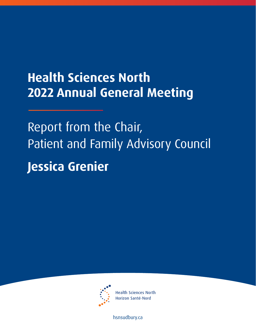# **Health Sciences North 2022 Annual General Meeting**

Report from the Chair, Patient and Family Advisory Council **Jessica Grenier** 



**Health Sciences North** Horizon Santé-Nord

[hsnsudbury.ca](www.hsnsudbury.ca)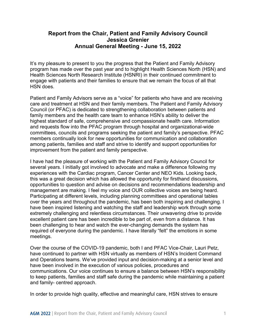# **Report from the Chair, Patient and Family Advisory Council Annual General Meeting - June 15, 2022 Jessica Grenier**

 engage with patients and their families to ensure that we remain the focus of all that It's my pleasure to present to you the progress that the Patient and Family Advisory program has made over the past year and to highlight Health Sciences North (HSN) and Health Sciences North Research Institute (HSNRI) in their continued commitment to HSN does.

 care and treatment at HSN and their family members. The Patient and Family Advisory improvement from the patient and family perspective. Patient and Family Advisors serve as a "voice" for patients who have and are receiving Council (or PFAC) is dedicated to strengthening collaboration between patients and family members and the health care team to enhance HSN's ability to deliver the highest standard of safe, comprehensive and compassionate health care. Information and requests flow into the PFAC program through hospital and organizational-wide committees, councils and programs seeking the patient and family's perspective. PFAC members continually look for new opportunities for communication and collaboration among patients, families and staff and strive to identify and support opportunities for

 this was a great decision which has allowed the opportunity for firsthand discussions, meetings. I have had the pleasure of working with the Patient and Family Advisory Council for several years. I initially got involved to advocate and make a difference following my experiences with the Cardiac program, Cancer Center and NEO Kids. Looking back, opportunities to question and advise on decisions and recommendations leadership and management are making. I feel my voice and OUR collective voices are being heard. Participating at different levels, including planning committees and operational tables over the years and throughout the pandemic, has been both inspiring and challenging. I have been inspired listening and watching the staff and leadership work through some extremely challenging and relentless circumstances. Their unwavering drive to provide excellent patient care has been incredible to be part of, even from a distance. It has been challenging to hear and watch the ever-changing demands the system has required of everyone during the pandemic. I have literally "felt" the emotions in some

Over the course of the COVID-19 pandemic, both I and PFAC Vice-Chair, Lauri Petz, have continued to partner with HSN virtually as members of HSN's Incident Command and Operations teams. We've provided input and decision-making at a senior level and have been involved in the execution of various policies, procedures and communications. Our voice continues to ensure a balance between HSN's responsibility to keep patients, families and staff safe during the pandemic while maintaining a patient and family- centred approach.

In order to provide high quality, effective and meaningful care, HSN strives to ensure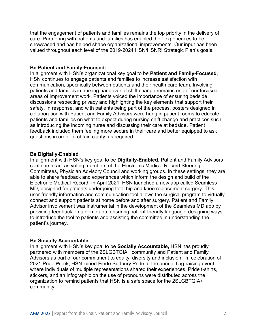that the engagement of patients and families remains the top priority in the delivery of care. Partnering with patients and families has enabled their experiences to be showcased and has helped shape organizational improvements. Our input has been valued throughout each level of the 2019-2024 HSN/HSNRI Strategic Plan's goals:

# **Be Patient and Family-Focused:**

In alignment with HSN's organizational key goal to be **Patient and Family-Focused**, HSN continues to engage patients and families to increase satisfaction with communication, specifically between patients and their health care team. Involving patients and families in nursing handover at shift change remains one of our focused areas of improvement work. Patients voiced the importance of ensuring bedside discussions respecting privacy and highlighting the key elements that support their safety. In response, and with patients being part of the process, posters designed in collaboration with Patient and Family Advisors were hung in patient rooms to educate patients and families on what to expect during nursing shift change and practices such as introducing the incoming nurse and discussing their care at bedside. Patient feedback included them feeling more secure in their care and better equipped to ask questions in order to obtain clarity, as required.

#### **Be Digitally-Enabled**

 In alignment with HSN's key goal to be **Digitally-Enabled,** Patient and Family Advisors able to share feedback and experiences which inform the design and build of the connect and support patients at home before and after surgery. Patient and Family Advisor involvement was instrumental in the development of the Seamless MD app by providing feedback on a demo app, ensuring patient-friendly language, designing ways continue to act as voting members of the Electronic Medical Record Steering Committees, Physician Advisory Council and working groups. In these settings, they are Electronic Medical Record. In April 2021, HSN launched a new app called Seamless MD, designed for patients undergoing total hip and knee replacement surgery. This user-friendly information and communication tool allows the surgical program to virtually to introduce the tool to patients and assisting the committee in understanding the patient's journey.

## **Be Socially Accountable**

In alignment with HSN's key goal to be **Socially Accountable,** HSN has proudly partnered with members of the 2SLGBTQIA+ community and Patient and Family Advisors as part of our commitment to equity, diversity and inclusion. In celebration of 2021 Pride Week, HSN joined Fierté Sudbury Pride at the annual flag-raising event where individuals of multiple representations shared their experiences. Pride t-shirts, stickers, and an infographic on the use of pronouns were distributed across the organization to remind patients that HSN is a safe space for the 2SLGBTQIA+ community.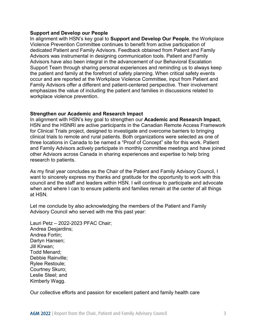#### **Support and Develop our People**

 dedicated Patient and Family Advisors. Feedback obtained from Patient and Family occur and are reported at the Workplace Violence Committee, input from Patient and In alignment with HSN's key goal to **Support and Develop Our People**, the Workplace Violence Prevention Committee continues to benefit from active participation of Advisors was instrumental in designing communication tools. Patient and Family Advisors have also been integral in the advancement of our Behavioral Escalation Support Team through sharing personal experiences and reminding us to always keep the patient and family at the forefront of safety planning. When critical safety events Family Advisors offer a different and patient-centered perspective. Their involvement emphasizes the value of including the patient and families in discussions related to workplace violence prevention.

## **Strengthen our Academic and Research Impact**

 HSN and the HSNRI are active participants in the Canadian Remote Access Framework clinical trials to remote and rural patients. Both organizations were selected as one of In alignment with HSN's key goal to strengthen our **Academic and Research Impact**, for Clinical Trials project, designed to investigate and overcome barriers to bringing three locations in Canada to be named a "Proof of Concept" site for this work. Patient and Family Advisors actively participate in monthly committee meetings and have joined other Advisors across Canada in sharing experiences and expertise to help bring research to patients.

 want to sincerely express my thanks and gratitude for the opportunity to work with this when and where I can to ensure patients and families remain at the center of all things As my final year concludes as the Chair of the Patient and Family Advisory Council, I council and the staff and leaders within HSN. I will continue to participate and advocate at HSN.

 Let me conclude by also acknowledging the members of the Patient and Family Advisory Council who served with me this past year:

Lauri Petz – 2022-2023 PFAC Chair; Andrea Desjardins; Andrea Fortin; Darlyn Hansen; Jill Kirwan; Todd Menard; Debbie Rainville; Rylee Restoule; Courtney Skuro; Leslie Steel; and Kimberly Wagg.

Our collective efforts and passion for excellent patient and family health care